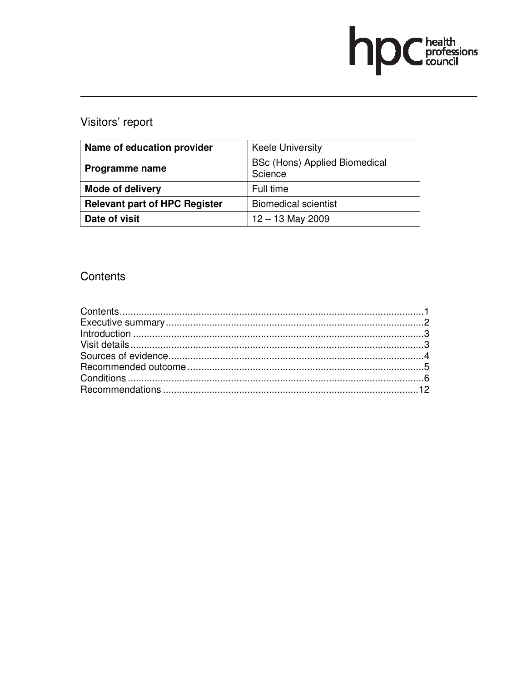# hp Chealth

## Visitors' report

| Name of education provider           | <b>Keele University</b>                         |
|--------------------------------------|-------------------------------------------------|
| Programme name                       | <b>BSc (Hons) Applied Biomedical</b><br>Science |
| <b>Mode of delivery</b>              | Full time                                       |
| <b>Relevant part of HPC Register</b> | <b>Biomedical scientist</b>                     |
| Date of visit                        | $12 - 13$ May 2009                              |

## Contents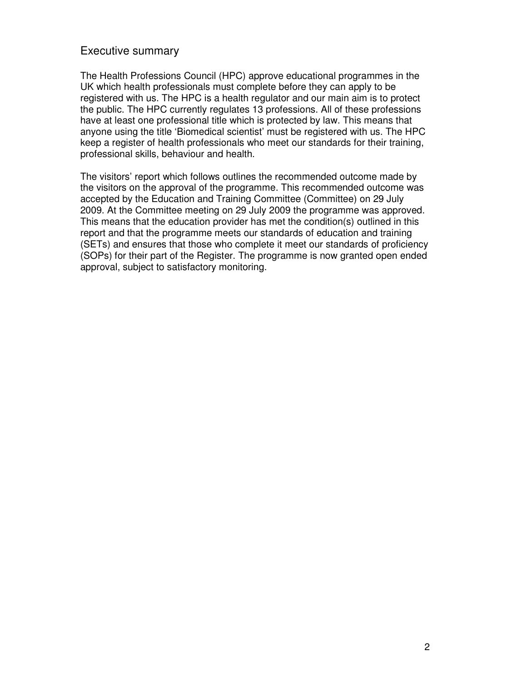#### Executive summary

The Health Professions Council (HPC) approve educational programmes in the UK which health professionals must complete before they can apply to be registered with us. The HPC is a health regulator and our main aim is to protect the public. The HPC currently regulates 13 professions. All of these professions have at least one professional title which is protected by law. This means that anyone using the title 'Biomedical scientist' must be registered with us. The HPC keep a register of health professionals who meet our standards for their training, professional skills, behaviour and health.

The visitors' report which follows outlines the recommended outcome made by the visitors on the approval of the programme. This recommended outcome was accepted by the Education and Training Committee (Committee) on 29 July 2009. At the Committee meeting on 29 July 2009 the programme was approved. This means that the education provider has met the condition(s) outlined in this report and that the programme meets our standards of education and training (SETs) and ensures that those who complete it meet our standards of proficiency (SOPs) for their part of the Register. The programme is now granted open ended approval, subject to satisfactory monitoring.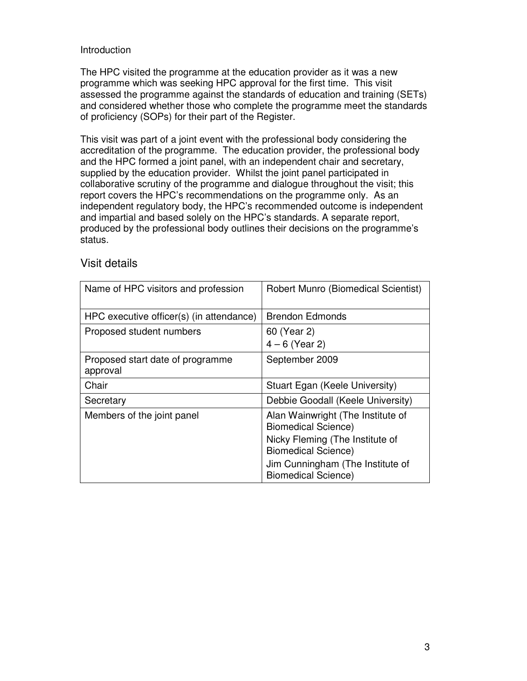#### Introduction

The HPC visited the programme at the education provider as it was a new programme which was seeking HPC approval for the first time. This visit assessed the programme against the standards of education and training (SETs) and considered whether those who complete the programme meet the standards of proficiency (SOPs) for their part of the Register.

This visit was part of a joint event with the professional body considering the accreditation of the programme. The education provider, the professional body and the HPC formed a joint panel, with an independent chair and secretary, supplied by the education provider. Whilst the joint panel participated in collaborative scrutiny of the programme and dialogue throughout the visit; this report covers the HPC's recommendations on the programme only. As an independent regulatory body, the HPC's recommended outcome is independent and impartial and based solely on the HPC's standards. A separate report, produced by the professional body outlines their decisions on the programme's status.

| Name of HPC visitors and profession          | Robert Munro (Biomedical Scientist)                             |
|----------------------------------------------|-----------------------------------------------------------------|
| HPC executive officer(s) (in attendance)     | <b>Brendon Edmonds</b>                                          |
| Proposed student numbers                     | 60 (Year 2)<br>$4 - 6$ (Year 2)                                 |
| Proposed start date of programme<br>approval | September 2009                                                  |
| Chair                                        | Stuart Egan (Keele University)                                  |
| Secretary                                    | Debbie Goodall (Keele University)                               |
| Members of the joint panel                   | Alan Wainwright (The Institute of<br><b>Biomedical Science)</b> |
|                                              | Nicky Fleming (The Institute of<br><b>Biomedical Science)</b>   |
|                                              | Jim Cunningham (The Institute of<br><b>Biomedical Science)</b>  |

#### Visit details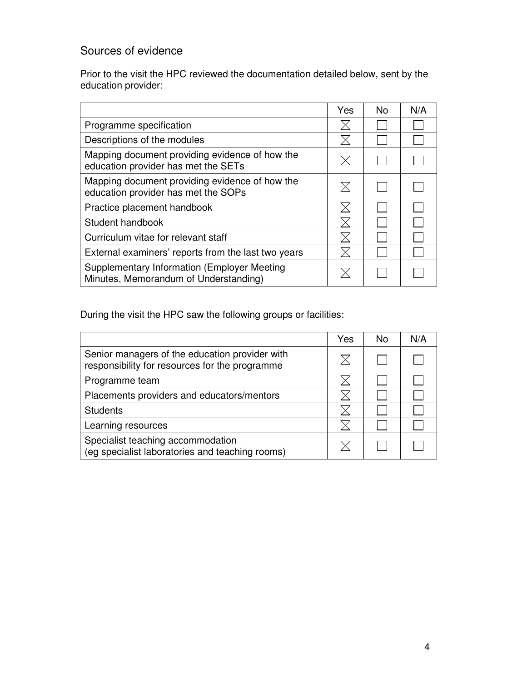### Sources of evidence

Prior to the visit the HPC reviewed the documentation detailed below, sent by the education provider:

|                                                                                             | Yes      | <b>No</b> | N/A |
|---------------------------------------------------------------------------------------------|----------|-----------|-----|
| Programme specification                                                                     | $\times$ |           |     |
| Descriptions of the modules                                                                 |          |           |     |
| Mapping document providing evidence of how the<br>education provider has met the SETs       |          |           |     |
| Mapping document providing evidence of how the<br>education provider has met the SOPs       | IХI      |           |     |
| Practice placement handbook                                                                 |          |           |     |
| Student handbook                                                                            |          |           |     |
| Curriculum vitae for relevant staff                                                         |          |           |     |
| External examiners' reports from the last two years                                         |          |           |     |
| <b>Supplementary Information (Employer Meeting</b><br>Minutes, Memorandum of Understanding) |          |           |     |

During the visit the HPC saw the following groups or facilities:

|                                                                                                  | Yes | No. | N/A |
|--------------------------------------------------------------------------------------------------|-----|-----|-----|
| Senior managers of the education provider with<br>responsibility for resources for the programme |     |     |     |
| Programme team                                                                                   |     |     |     |
| Placements providers and educators/mentors                                                       |     |     |     |
| <b>Students</b>                                                                                  |     |     |     |
| Learning resources                                                                               |     |     |     |
| Specialist teaching accommodation<br>(eg specialist laboratories and teaching rooms)             |     |     |     |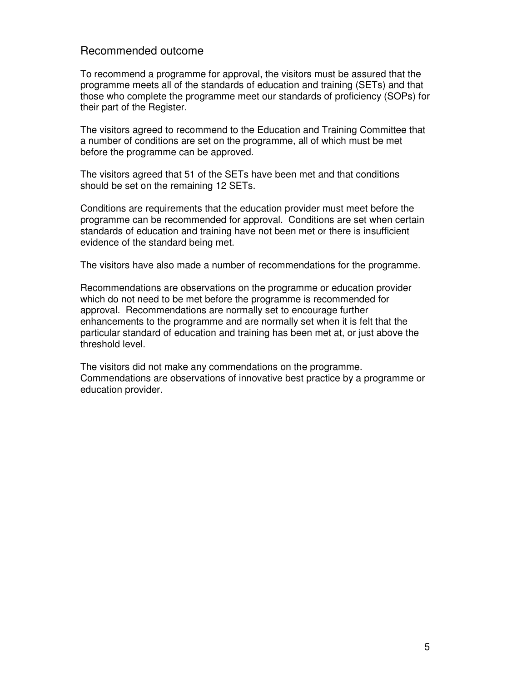#### Recommended outcome

To recommend a programme for approval, the visitors must be assured that the programme meets all of the standards of education and training (SETs) and that those who complete the programme meet our standards of proficiency (SOPs) for their part of the Register.

The visitors agreed to recommend to the Education and Training Committee that a number of conditions are set on the programme, all of which must be met before the programme can be approved.

The visitors agreed that 51 of the SETs have been met and that conditions should be set on the remaining 12 SETs.

Conditions are requirements that the education provider must meet before the programme can be recommended for approval. Conditions are set when certain standards of education and training have not been met or there is insufficient evidence of the standard being met.

The visitors have also made a number of recommendations for the programme.

Recommendations are observations on the programme or education provider which do not need to be met before the programme is recommended for approval. Recommendations are normally set to encourage further enhancements to the programme and are normally set when it is felt that the particular standard of education and training has been met at, or just above the threshold level.

The visitors did not make any commendations on the programme. Commendations are observations of innovative best practice by a programme or education provider.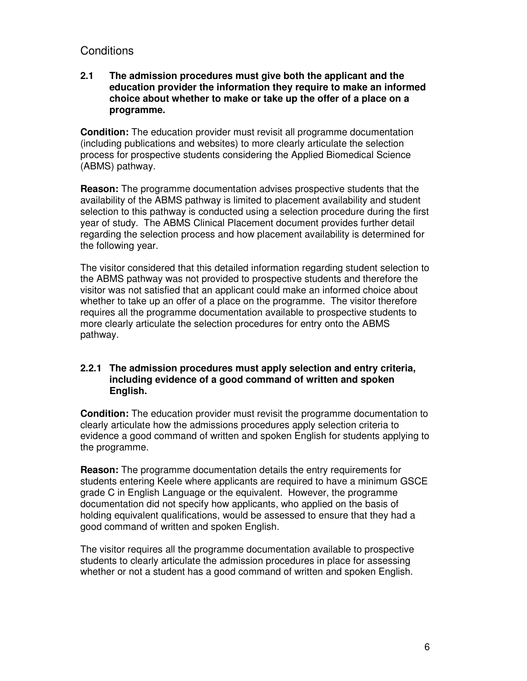#### **Conditions**

#### **2.1 The admission procedures must give both the applicant and the education provider the information they require to make an informed choice about whether to make or take up the offer of a place on a programme.**

**Condition:** The education provider must revisit all programme documentation (including publications and websites) to more clearly articulate the selection process for prospective students considering the Applied Biomedical Science (ABMS) pathway.

**Reason:** The programme documentation advises prospective students that the availability of the ABMS pathway is limited to placement availability and student selection to this pathway is conducted using a selection procedure during the first year of study. The ABMS Clinical Placement document provides further detail regarding the selection process and how placement availability is determined for the following year.

The visitor considered that this detailed information regarding student selection to the ABMS pathway was not provided to prospective students and therefore the visitor was not satisfied that an applicant could make an informed choice about whether to take up an offer of a place on the programme. The visitor therefore requires all the programme documentation available to prospective students to more clearly articulate the selection procedures for entry onto the ABMS pathway.

#### **2.2.1 The admission procedures must apply selection and entry criteria, including evidence of a good command of written and spoken English.**

**Condition:** The education provider must revisit the programme documentation to clearly articulate how the admissions procedures apply selection criteria to evidence a good command of written and spoken English for students applying to the programme.

**Reason:** The programme documentation details the entry requirements for students entering Keele where applicants are required to have a minimum GSCE grade C in English Language or the equivalent. However, the programme documentation did not specify how applicants, who applied on the basis of holding equivalent qualifications, would be assessed to ensure that they had a good command of written and spoken English.

The visitor requires all the programme documentation available to prospective students to clearly articulate the admission procedures in place for assessing whether or not a student has a good command of written and spoken English.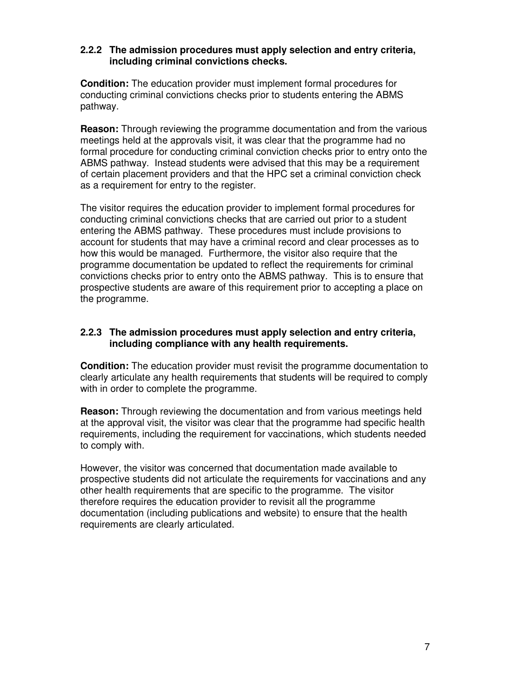#### **2.2.2 The admission procedures must apply selection and entry criteria, including criminal convictions checks.**

**Condition:** The education provider must implement formal procedures for conducting criminal convictions checks prior to students entering the ABMS pathway.

**Reason:** Through reviewing the programme documentation and from the various meetings held at the approvals visit, it was clear that the programme had no formal procedure for conducting criminal conviction checks prior to entry onto the ABMS pathway. Instead students were advised that this may be a requirement of certain placement providers and that the HPC set a criminal conviction check as a requirement for entry to the register.

The visitor requires the education provider to implement formal procedures for conducting criminal convictions checks that are carried out prior to a student entering the ABMS pathway. These procedures must include provisions to account for students that may have a criminal record and clear processes as to how this would be managed. Furthermore, the visitor also require that the programme documentation be updated to reflect the requirements for criminal convictions checks prior to entry onto the ABMS pathway. This is to ensure that prospective students are aware of this requirement prior to accepting a place on the programme.

#### **2.2.3 The admission procedures must apply selection and entry criteria, including compliance with any health requirements.**

**Condition:** The education provider must revisit the programme documentation to clearly articulate any health requirements that students will be required to comply with in order to complete the programme.

**Reason:** Through reviewing the documentation and from various meetings held at the approval visit, the visitor was clear that the programme had specific health requirements, including the requirement for vaccinations, which students needed to comply with.

However, the visitor was concerned that documentation made available to prospective students did not articulate the requirements for vaccinations and any other health requirements that are specific to the programme. The visitor therefore requires the education provider to revisit all the programme documentation (including publications and website) to ensure that the health requirements are clearly articulated.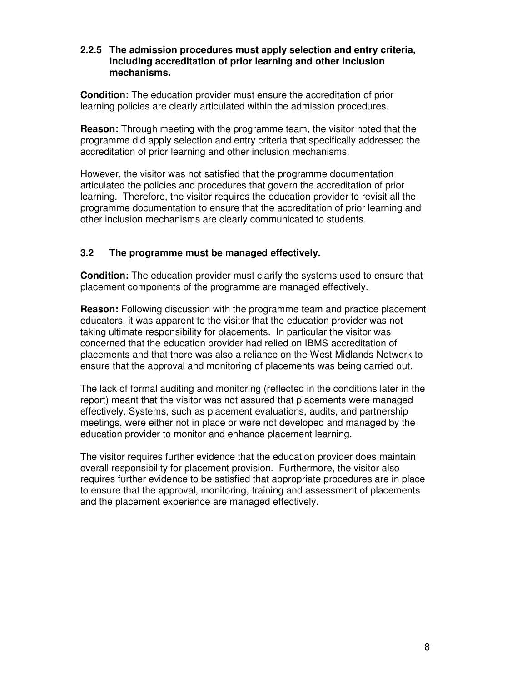#### **2.2.5 The admission procedures must apply selection and entry criteria, including accreditation of prior learning and other inclusion mechanisms.**

**Condition:** The education provider must ensure the accreditation of prior learning policies are clearly articulated within the admission procedures.

**Reason:** Through meeting with the programme team, the visitor noted that the programme did apply selection and entry criteria that specifically addressed the accreditation of prior learning and other inclusion mechanisms.

However, the visitor was not satisfied that the programme documentation articulated the policies and procedures that govern the accreditation of prior learning. Therefore, the visitor requires the education provider to revisit all the programme documentation to ensure that the accreditation of prior learning and other inclusion mechanisms are clearly communicated to students.

#### **3.2 The programme must be managed effectively.**

**Condition:** The education provider must clarify the systems used to ensure that placement components of the programme are managed effectively.

**Reason:** Following discussion with the programme team and practice placement educators, it was apparent to the visitor that the education provider was not taking ultimate responsibility for placements. In particular the visitor was concerned that the education provider had relied on IBMS accreditation of placements and that there was also a reliance on the West Midlands Network to ensure that the approval and monitoring of placements was being carried out.

The lack of formal auditing and monitoring (reflected in the conditions later in the report) meant that the visitor was not assured that placements were managed effectively. Systems, such as placement evaluations, audits, and partnership meetings, were either not in place or were not developed and managed by the education provider to monitor and enhance placement learning.

The visitor requires further evidence that the education provider does maintain overall responsibility for placement provision. Furthermore, the visitor also requires further evidence to be satisfied that appropriate procedures are in place to ensure that the approval, monitoring, training and assessment of placements and the placement experience are managed effectively.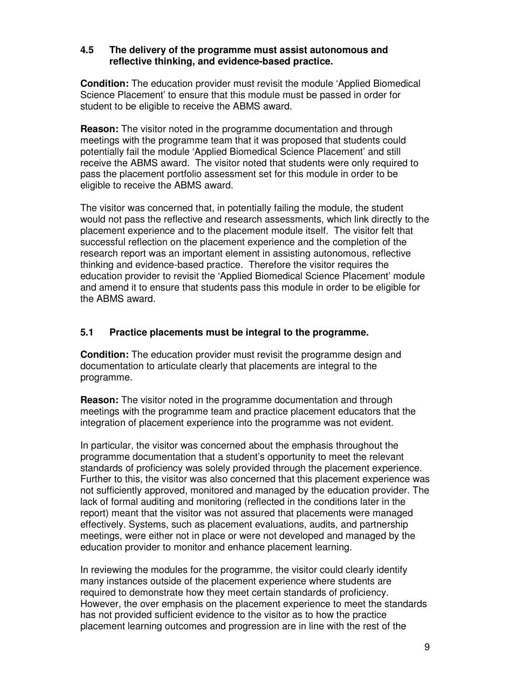#### **4.5 The delivery of the programme must assist autonomous and reflective thinking, and evidence-based practice.**

**Condition:** The education provider must revisit the module 'Applied Biomedical Science Placement' to ensure that this module must be passed in order for student to be eligible to receive the ABMS award.

**Reason:** The visitor noted in the programme documentation and through meetings with the programme team that it was proposed that students could potentially fail the module 'Applied Biomedical Science Placement' and still receive the ABMS award. The visitor noted that students were only required to pass the placement portfolio assessment set for this module in order to be eligible to receive the ABMS award.

The visitor was concerned that, in potentially failing the module, the student would not pass the reflective and research assessments, which link directly to the placement experience and to the placement module itself. The visitor felt that successful reflection on the placement experience and the completion of the research report was an important element in assisting autonomous, reflective thinking and evidence-based practice. Therefore the visitor requires the education provider to revisit the 'Applied Biomedical Science Placement' module and amend it to ensure that students pass this module in order to be eligible for the ABMS award.

#### **5.1 Practice placements must be integral to the programme.**

**Condition:** The education provider must revisit the programme design and documentation to articulate clearly that placements are integral to the programme.

**Reason:** The visitor noted in the programme documentation and through meetings with the programme team and practice placement educators that the integration of placement experience into the programme was not evident.

In particular, the visitor was concerned about the emphasis throughout the programme documentation that a student's opportunity to meet the relevant standards of proficiency was solely provided through the placement experience. Further to this, the visitor was also concerned that this placement experience was not sufficiently approved, monitored and managed by the education provider. The lack of formal auditing and monitoring (reflected in the conditions later in the report) meant that the visitor was not assured that placements were managed effectively. Systems, such as placement evaluations, audits, and partnership meetings, were either not in place or were not developed and managed by the education provider to monitor and enhance placement learning.

In reviewing the modules for the programme, the visitor could clearly identify many instances outside of the placement experience where students are required to demonstrate how they meet certain standards of proficiency. However, the over emphasis on the placement experience to meet the standards has not provided sufficient evidence to the visitor as to how the practice placement learning outcomes and progression are in line with the rest of the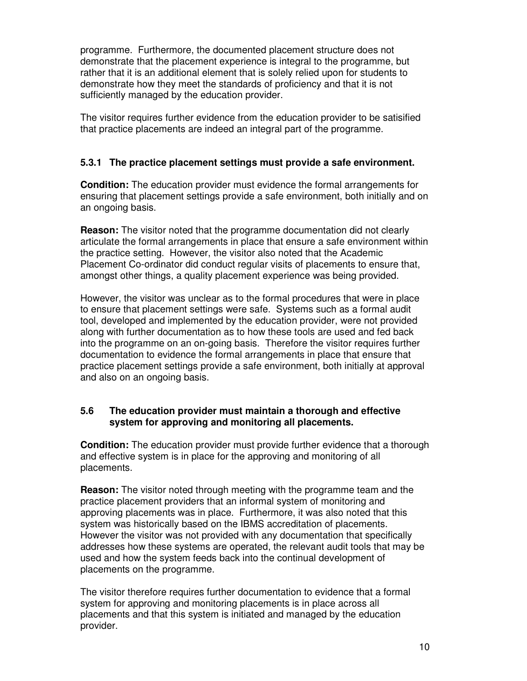programme. Furthermore, the documented placement structure does not demonstrate that the placement experience is integral to the programme, but rather that it is an additional element that is solely relied upon for students to demonstrate how they meet the standards of proficiency and that it is not sufficiently managed by the education provider.

The visitor requires further evidence from the education provider to be satisified that practice placements are indeed an integral part of the programme.

#### **5.3.1 The practice placement settings must provide a safe environment.**

**Condition:** The education provider must evidence the formal arrangements for ensuring that placement settings provide a safe environment, both initially and on an ongoing basis.

**Reason:** The visitor noted that the programme documentation did not clearly articulate the formal arrangements in place that ensure a safe environment within the practice setting. However, the visitor also noted that the Academic Placement Co-ordinator did conduct regular visits of placements to ensure that, amongst other things, a quality placement experience was being provided.

However, the visitor was unclear as to the formal procedures that were in place to ensure that placement settings were safe. Systems such as a formal audit tool, developed and implemented by the education provider, were not provided along with further documentation as to how these tools are used and fed back into the programme on an on-going basis. Therefore the visitor requires further documentation to evidence the formal arrangements in place that ensure that practice placement settings provide a safe environment, both initially at approval and also on an ongoing basis.

#### **5.6 The education provider must maintain a thorough and effective system for approving and monitoring all placements.**

**Condition:** The education provider must provide further evidence that a thorough and effective system is in place for the approving and monitoring of all placements.

**Reason:** The visitor noted through meeting with the programme team and the practice placement providers that an informal system of monitoring and approving placements was in place. Furthermore, it was also noted that this system was historically based on the IBMS accreditation of placements. However the visitor was not provided with any documentation that specifically addresses how these systems are operated, the relevant audit tools that may be used and how the system feeds back into the continual development of placements on the programme.

The visitor therefore requires further documentation to evidence that a formal system for approving and monitoring placements is in place across all placements and that this system is initiated and managed by the education provider.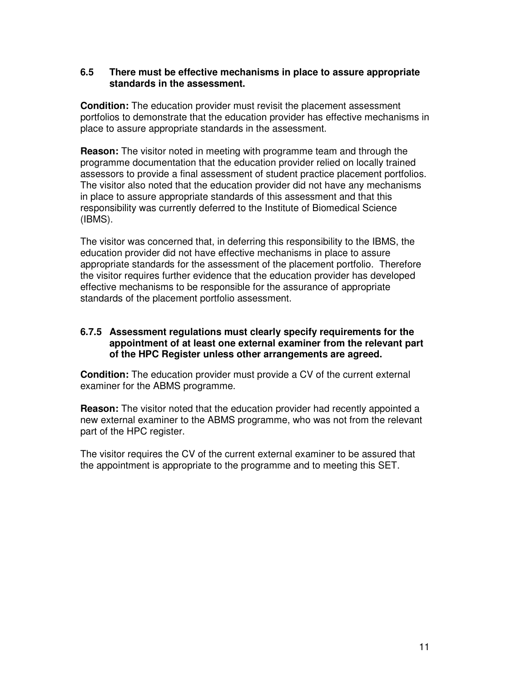#### **6.5 There must be effective mechanisms in place to assure appropriate standards in the assessment.**

**Condition:** The education provider must revisit the placement assessment portfolios to demonstrate that the education provider has effective mechanisms in place to assure appropriate standards in the assessment.

**Reason:** The visitor noted in meeting with programme team and through the programme documentation that the education provider relied on locally trained assessors to provide a final assessment of student practice placement portfolios. The visitor also noted that the education provider did not have any mechanisms in place to assure appropriate standards of this assessment and that this responsibility was currently deferred to the Institute of Biomedical Science (IBMS).

The visitor was concerned that, in deferring this responsibility to the IBMS, the education provider did not have effective mechanisms in place to assure appropriate standards for the assessment of the placement portfolio. Therefore the visitor requires further evidence that the education provider has developed effective mechanisms to be responsible for the assurance of appropriate standards of the placement portfolio assessment.

#### **6.7.5 Assessment regulations must clearly specify requirements for the appointment of at least one external examiner from the relevant part of the HPC Register unless other arrangements are agreed.**

**Condition:** The education provider must provide a CV of the current external examiner for the ABMS programme.

**Reason:** The visitor noted that the education provider had recently appointed a new external examiner to the ABMS programme, who was not from the relevant part of the HPC register.

The visitor requires the CV of the current external examiner to be assured that the appointment is appropriate to the programme and to meeting this SET.